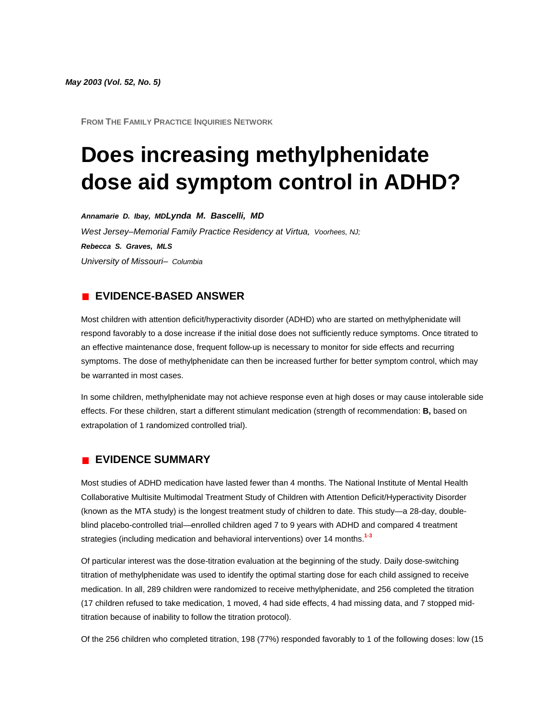*May 2003 (Vol. 52, No. 5)*

**FROM THE FAMILY PRACTICE INQUIRIES NETWORK**

# **Does increasing methylphenidate dose aid symptom control in ADHD?**

*Annamarie D. Ibay, MDLynda M. Bascelli, MD West Jersey–Memorial Family Practice Residency at Virtua, Voorhees, NJ; Rebecca S. Graves, MLS University of Missouri– Columbia*

## **EVIDENCE-BASED ANSWER**

Most children with attention deficit/hyperactivity disorder (ADHD) who are started on methylphenidate will respond favorably to a dose increase if the initial dose does not sufficiently reduce symptoms. Once titrated to an effective maintenance dose, frequent follow-up is necessary to monitor for side effects and recurring symptoms. The dose of methylphenidate can then be increased further for better symptom control, which may be warranted in most cases.

In some children, methylphenidate may not achieve response even at high doses or may cause intolerable side effects. For these children, start a different stimulant medication (strength of recommendation: **B,** based on extrapolation of 1 randomized controlled trial).

#### **EVIDENCE SUMMARY**

Most studies of ADHD medication have lasted fewer than 4 months. The National Institute of Mental Health Collaborative Multisite Multimodal Treatment Study of Children with Attention Deficit/Hyperactivity Disorder (known as the MTA study) is the longest treatment study of children to date. This study—a 28-day, doubleblind placebo-controlled trial—enrolled children aged 7 to 9 years with ADHD and compared 4 treatment strategies (including medication and behavioral interventions) over 14 month[s.](http://www.jfponline.com/Pages.asp?AID=1450&issue=May_2003&UID=#bib1)**<sup>1</sup>**-**[3](http://www.jfponline.com/Pages.asp?AID=1450&issue=May_2003&UID=#bib3)**

Of particular interest was the dose-titration evaluation at the beginning of the study. Daily dose-switching titration of methylphenidate was used to identify the optimal starting dose for each child assigned to receive medication. In all, 289 children were randomized to receive methylphenidate, and 256 completed the titration (17 children refused to take medication, 1 moved, 4 had side effects, 4 had missing data, and 7 stopped midtitration because of inability to follow the titration protocol).

Of the 256 children who completed titration, 198 (77%) responded favorably to 1 of the following doses: low (15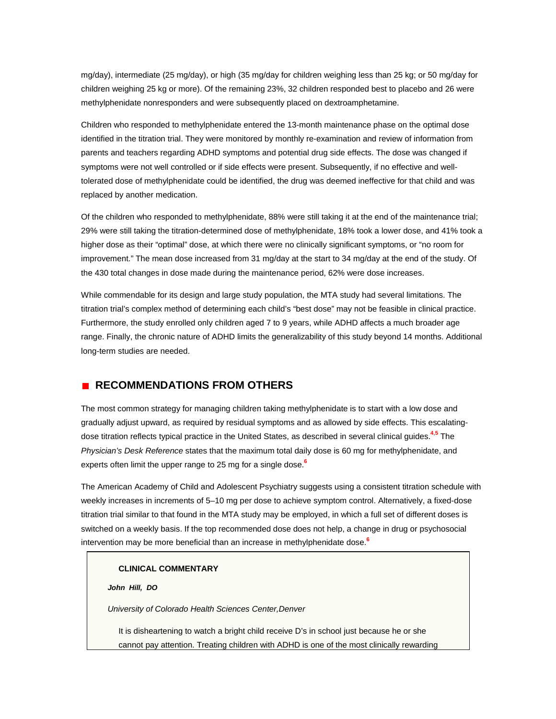mg/day), intermediate (25 mg/day), or high (35 mg/day for children weighing less than 25 kg; or 50 mg/day for children weighing 25 kg or more). Of the remaining 23%, 32 children responded best to placebo and 26 were methylphenidate nonresponders and were subsequently placed on dextroamphetamine.

Children who responded to methylphenidate entered the 13-month maintenance phase on the optimal dose identified in the titration trial. They were monitored by monthly re-examination and review of information from parents and teachers regarding ADHD symptoms and potential drug side effects. The dose was changed if symptoms were not well controlled or if side effects were present. Subsequently, if no effective and welltolerated dose of methylphenidate could be identified, the drug was deemed ineffective for that child and was replaced by another medication.

Of the children who responded to methylphenidate, 88% were still taking it at the end of the maintenance trial; 29% were still taking the titration-determined dose of methylphenidate, 18% took a lower dose, and 41% took a higher dose as their "optimal" dose, at which there were no clinically significant symptoms, or "no room for improvement." The mean dose increased from 31 mg/day at the start to 34 mg/day at the end of the study. Of the 430 total changes in dose made during the maintenance period, 62% were dose increases.

While commendable for its design and large study population, the MTA study had several limitations. The titration trial's complex method of determining each child's "best dose" may not be feasible in clinical practice. Furthermore, the study enrolled only children aged 7 to 9 years, while ADHD affects a much broader age range. Finally, the chronic nature of ADHD limits the generalizability of this study beyond 14 months. Additional long-term studies are needed.

### **RECOMMENDATIONS FROM OTHERS**

The most common strategy for managing children taking methylphenidate is to start with a low dose and gradually adjust upward, as required by residual symptoms and as allowed by side effects. This escalatingdose titration reflects typical practice in the United States, as described in several clinical guide[s.](http://www.jfponline.com/Pages.asp?AID=1450&issue=May_2003&UID=#bib4)**<sup>4</sup>**,**[5](http://www.jfponline.com/Pages.asp?AID=1450&issue=May_2003&UID=#bib5)** The *Physician's Desk Reference* states that the maximum total daily dose is 60 mg for methylphenidate, and experts often limit the upper range to 25 mg for a single dos[e.](http://www.jfponline.com/Pages.asp?AID=1450&issue=May_2003&UID=#bib6)**<sup>6</sup>**

The American Academy of Child and Adolescent Psychiatry suggests using a consistent titration schedule with weekly increases in increments of 5–10 mg per dose to achieve symptom control. Alternatively, a fixed-dose titration trial similar to that found in the MTA study may be employed, in which a full set of different doses is switched on a weekly basis. If the top recommended dose does not help, a change in drug or psychosocial intervention may be more beneficial than an increase in methylphenidate dos[e.](http://www.jfponline.com/Pages.asp?AID=1450&issue=May_2003&UID=#bib6)**<sup>6</sup>**

#### **CLINICAL COMMENTARY**

*John Hill, DO*

*University of Colorado Health Sciences Center,Denver*

It is disheartening to watch a bright child receive D's in school just because he or she cannot pay attention. Treating children with ADHD is one of the most clinically rewarding